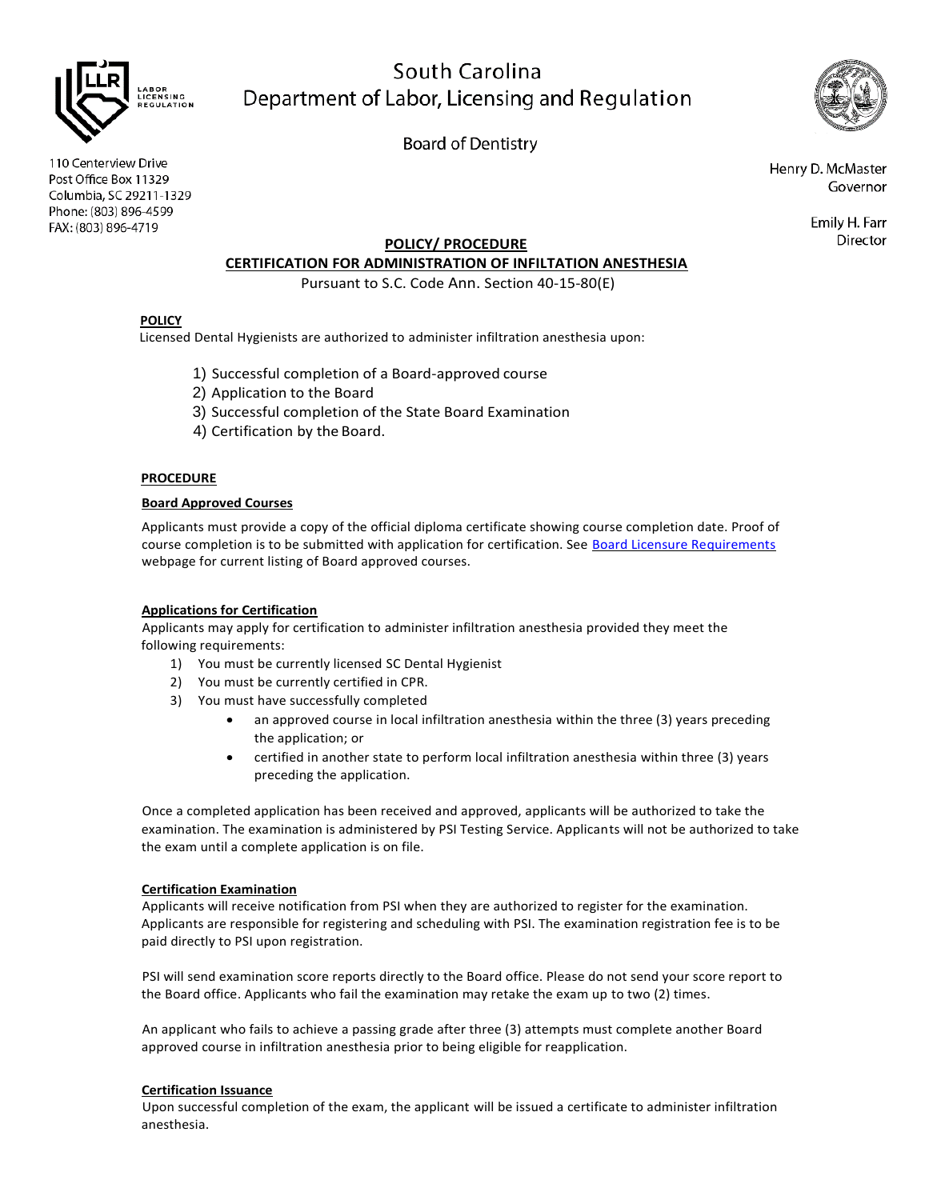

# South Carolina Department of Labor, Licensing and Regulation

**Board of Dentistry** 

110 Centerview Drive Post Office Box 11329 Columbia, SC 29211-1329 Phone: (803) 896-4599 FAX: (803) 896-4719

Henry D. McMaster Governor

> Emily H. Farr Director

# **POLICY/ PROCEDURE**

# **CERTIFICATION FOR ADMINISTRATION OF INFILTATION ANESTHESIA**

Pursuant to S.C. Code Ann. Section 40-15-80(E)

# **POLICY**

Licensed Dental Hygienists are authorized to administer infiltration anesthesia upon:

- 1) Successful completion of a Board-approved course
- 2) Application to the Board
- 3) Successful completion of the State Board Examination
- 4) Certification by the Board.

# **PROCEDURE**

#### **Board Approved Courses**

Applicants must provide a copy of the official diploma certificate showing course completion date. Proof of course completion is to be submitted with application for certification. See [Board Licensure Requirements](https://www.llr.sc.gov/bod/licensure.aspx) webpage for current listing of Board approved courses.

# **Applications for Certification**

Applicants may apply for certification to administer infiltration anesthesia provided they meet the following requirements:

- 1) You must be currently licensed SC Dental Hygienist
- 2) You must be currently certified in CPR.
- 3) You must have successfully completed
	- an approved course in local infiltration anesthesia within the three (3) years preceding the application; or
	- certified in another state to perform local infiltration anesthesia within three (3) years preceding the application.

Once a completed application has been received and approved, applicants will be authorized to take the examination. The examination is administered by PSI Testing Service. Applicants will not be authorized to take the exam until a complete application is on file.

# **Certification Examination**

Applicants will receive notification from PSI when they are authorized to register for the examination. Applicants are responsible for registering and scheduling with PSI. The examination registration fee is to be paid directly to PSI upon registration.

PSI will send examination score reports directly to the Board office. Please do not send your score report to the Board office. Applicants who fail the examination may retake the exam up to two (2) times.

An applicant who fails to achieve a passing grade after three (3) attempts must complete another Board approved course in infiltration anesthesia prior to being eligible for reapplication.

# **Certification Issuance**

Upon successful completion of the exam, the applicant will be issued a certificate to administer infiltration anesthesia.